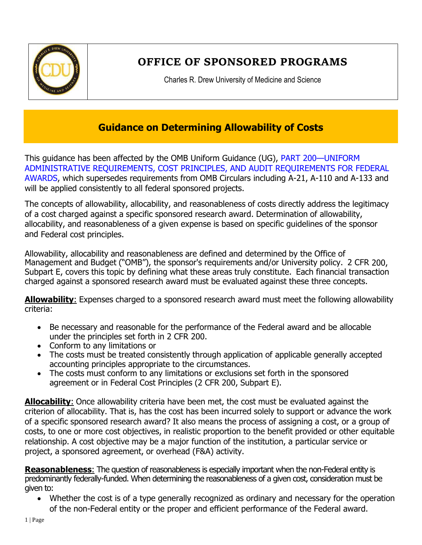

# **OFFICE OF SPONSORED PROGRAMS**

Charles R. Drew University of Medicine and Science

## **Guidance on Determining Allowability of Costs**

This guidance has been affected by the OMB Uniform Guidance (UG), PART 200—UNIFORM ADMINISTRATIVE REQUIREMENTS, COST PRINCIPLES, AND AUDIT REQUIREMENTS FOR FEDERAL AWARDS, which supersedes requirements from OMB Circulars including A-21, A-110 and A-133 and will be applied consistently to all federal sponsored projects.

The concepts of allowability, allocability, and reasonableness of costs directly address the legitimacy of a cost charged against a specific sponsored research award. Determination of allowability, allocability, and reasonableness of a given expense is based on specific guidelines of the sponsor and Federal cost principles.

Allowability, allocability and reasonableness are defined and determined by the Office of Management and Budget ("OMB"), the sponsor's requirements and/or University policy. 2 CFR 200, Subpart E, covers this topic by defining what these areas truly constitute. Each financial transaction charged against a sponsored research award must be evaluated against these three concepts.

**Allowability**: Expenses charged to a sponsored research award must meet the following allowability criteria:

- Be necessary and reasonable for the performance of the Federal award and be allocable under the principles set forth in 2 CFR 200.
- Conform to any limitations or
- The costs must be treated consistently through application of applicable generally accepted accounting principles appropriate to the circumstances.
- The costs must conform to any limitations or exclusions set forth in the sponsored agreement or in Federal Cost Principles (2 CFR 200, Subpart E).

**Allocability**: Once allowability criteria have been met, the cost must be evaluated against the criterion of allocability. That is, has the cost has been incurred solely to support or advance the work of a specific sponsored research award? It also means the process of assigning a cost, or a group of costs, to one or more cost objectives, in realistic proportion to the benefit provided or other equitable relationship. A cost objective may be a major function of the institution, a particular service or project, a sponsored agreement, or overhead (F&A) activity.

**Reasonableness**: The question of reasonableness is especially important when the non-Federal entity is predominantly federally-funded. When determining the reasonableness of a given cost, consideration must be given to:

 Whether the cost is of a type generally recognized as ordinary and necessary for the operation of the non-Federal entity or the proper and efficient performance of the Federal award.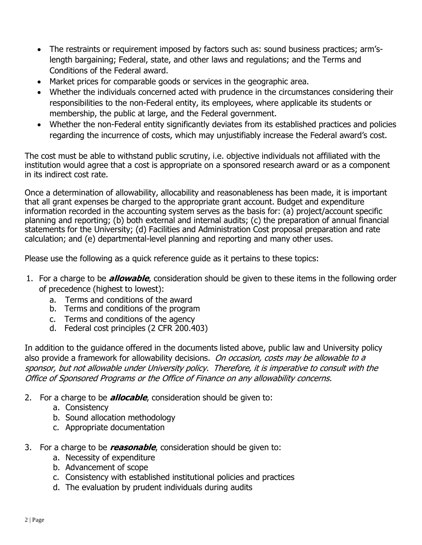- The restraints or requirement imposed by factors such as: sound business practices; arm'slength bargaining; Federal, state, and other laws and regulations; and the Terms and Conditions of the Federal award.
- Market prices for comparable goods or services in the geographic area.
- Whether the individuals concerned acted with prudence in the circumstances considering their responsibilities to the non-Federal entity, its employees, where applicable its students or membership, the public at large, and the Federal government.
- Whether the non-Federal entity significantly deviates from its established practices and policies regarding the incurrence of costs, which may unjustifiably increase the Federal award's cost.

The cost must be able to withstand public scrutiny, i.e. objective individuals not affiliated with the institution would agree that a cost is appropriate on a sponsored research award or as a component in its indirect cost rate.

Once a determination of allowability, allocability and reasonableness has been made, it is important that all grant expenses be charged to the appropriate grant account. Budget and expenditure information recorded in the accounting system serves as the basis for: (a) project/account specific planning and reporting; (b) both external and internal audits; (c) the preparation of annual financial statements for the University; (d) Facilities and Administration Cost proposal preparation and rate calculation; and (e) departmental-level planning and reporting and many other uses.

Please use the following as a quick reference guide as it pertains to these topics:

- 1. For a charge to be **allowable**, consideration should be given to these items in the following order of precedence (highest to lowest):
	- a. Terms and conditions of the award
	- b. Terms and conditions of the program
	- c. Terms and conditions of the agency
	- d. Federal cost principles (2 CFR 200.403)

In addition to the guidance offered in the documents listed above, public law and University policy also provide a framework for allowability decisions. On occasion, costs may be allowable to a sponsor, but not allowable under University policy. Therefore, it is imperative to consult with the Office of Sponsored Programs or the Office of Finance on any allowability concerns.

- 2. For a charge to be **allocable**, consideration should be given to:
	- a. Consistency
	- b. Sound allocation methodology
	- c. Appropriate documentation
- 3. For a charge to be **reasonable**, consideration should be given to:
	- a. Necessity of expenditure
	- b. Advancement of scope
	- c. Consistency with established institutional policies and practices
	- d. The evaluation by prudent individuals during audits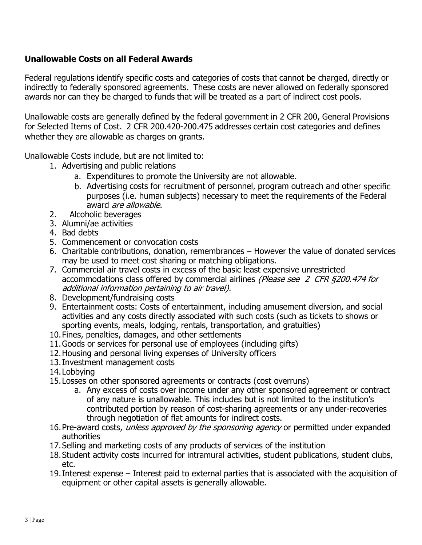### **Unallowable Costs on all Federal Awards**

Federal regulations identify specific costs and categories of costs that cannot be charged, directly or indirectly to federally sponsored agreements. These costs are never allowed on federally sponsored awards nor can they be charged to funds that will be treated as a part of indirect cost pools.

Unallowable costs are generally defined by the federal government in 2 CFR 200, General Provisions for Selected Items of Cost. 2 CFR 200.420-200.475 addresses certain cost categories and defines whether they are allowable as charges on grants.

Unallowable Costs include, but are not limited to:

- 1. Advertising and public relations
	- a. Expenditures to promote the University are not allowable.
	- b. Advertising costs for recruitment of personnel, program outreach and other specific purposes (i.e. human subjects) necessary to meet the requirements of the Federal award *are allowable*.
- 2. Alcoholic beverages
- 3. Alumni/ae activities
- 4. Bad debts
- 5. Commencement or convocation costs
- 6. Charitable contributions, donation, remembrances However the value of donated services may be used to meet cost sharing or matching obligations.
- 7. Commercial air travel costs in excess of the basic least expensive unrestricted accommodations class offered by commercial airlines (Please see 2 CFR §200.474 for additional information pertaining to air travel).
- 8. Development/fundraising costs
- 9. Entertainment costs: Costs of entertainment, including amusement diversion, and social activities and any costs directly associated with such costs (such as tickets to shows or sporting events, meals, lodging, rentals, transportation, and gratuities)
- 10.Fines, penalties, damages, and other settlements
- 11.Goods or services for personal use of employees (including gifts)
- 12.Housing and personal living expenses of University officers
- 13.Investment management costs
- 14.Lobbying
- 15.Losses on other sponsored agreements or contracts (cost overruns)
	- a. Any excess of costs over income under any other sponsored agreement or contract of any nature is unallowable. This includes but is not limited to the institution's contributed portion by reason of cost-sharing agreements or any under-recoveries through negotiation of flat amounts for indirect costs.
- 16. Pre-award costs, unless approved by the sponsoring agency or permitted under expanded authorities
- 17.Selling and marketing costs of any products of services of the institution
- 18.Student activity costs incurred for intramural activities, student publications, student clubs, etc.
- 19.Interest expense Interest paid to external parties that is associated with the acquisition of equipment or other capital assets is generally allowable.